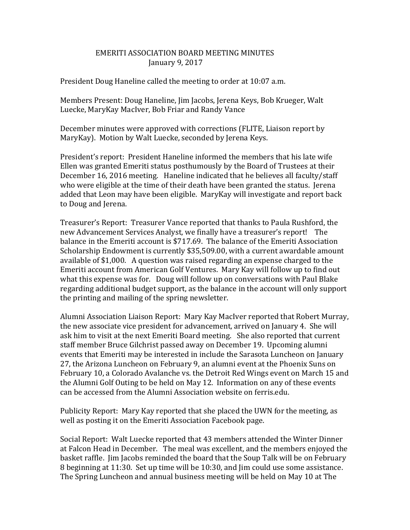## EMERITI ASSOCIATION BOARD MEETING MINUTES January 9, 2017

President Doug Haneline called the meeting to order at 10:07 a.m.

Members Present: Doug Haneline, Jim Jacobs, Jerena Keys, Bob Krueger, Walt Luecke, MaryKay MacIver, Bob Friar and Randy Vance

December minutes were approved with corrections (FLITE, Liaison report by MaryKay). Motion by Walt Luecke, seconded by Jerena Keys.

President's report: President Haneline informed the members that his late wife Ellen was granted Emeriti status posthumously by the Board of Trustees at their December 16, 2016 meeting. Haneline indicated that he believes all faculty/staff who were eligible at the time of their death have been granted the status. Jerena added that Leon may have been eligible. MaryKay will investigate and report back to Doug and Jerena.

Treasurer's Report: Treasurer Vance reported that thanks to Paula Rushford, the new Advancement Services Analyst, we finally have a treasurer's report! The balance in the Emeriti account is \$717.69. The balance of the Emeriti Association Scholarship Endowment is currently \$35,509.00, with a current awardable amount available of \$1,000. A question was raised regarding an expense charged to the Emeriti account from American Golf Ventures. Mary Kay will follow up to find out what this expense was for. Doug will follow up on conversations with Paul Blake regarding additional budget support, as the balance in the account will only support the printing and mailing of the spring newsletter.

Alumni Association Liaison Report: Mary Kay MacIver reported that Robert Murray, the new associate vice president for advancement, arrived on January 4. She will ask him to visit at the next Emeriti Board meeting. She also reported that current staff member Bruce Gilchrist passed away on December 19. Upcoming alumni events that Emeriti may be interested in include the Sarasota Luncheon on January 27, the Arizona Luncheon on February 9, an alumni event at the Phoenix Suns on February 10, a Colorado Avalanche vs. the Detroit Red Wings event on March 15 and the Alumni Golf Outing to be held on May 12. Information on any of these events can be accessed from the Alumni Association website on ferris.edu.

Publicity Report: Mary Kay reported that she placed the UWN for the meeting, as well as posting it on the Emeriti Association Facebook page.

Social Report: Walt Luecke reported that 43 members attended the Winter Dinner at Falcon Head in December. The meal was excellent, and the members enjoyed the basket raffle. Jim Jacobs reminded the board that the Soup Talk will be on February 8 beginning at 11:30. Set up time will be 10:30, and Jim could use some assistance. The Spring Luncheon and annual business meeting will be held on May 10 at The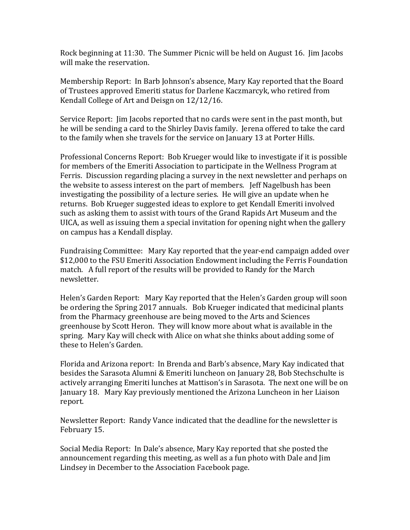Rock beginning at 11:30. The Summer Picnic will be held on August 16. Jim Jacobs will make the reservation.

Membership Report: In Barb Johnson's absence, Mary Kay reported that the Board of Trustees approved Emeriti status for Darlene Kaczmarcyk, who retired from Kendall College of Art and Deisgn on 12/12/16.

Service Report: Jim Jacobs reported that no cards were sent in the past month, but he will be sending a card to the Shirley Davis family. Jerena offered to take the card to the family when she travels for the service on January 13 at Porter Hills.

Professional Concerns Report: Bob Krueger would like to investigate if it is possible for members of the Emeriti Association to participate in the Wellness Program at Ferris. Discussion regarding placing a survey in the next newsletter and perhaps on the website to assess interest on the part of members. Jeff Nagelbush has been investigating the possibility of a lecture series. He will give an update when he returns. Bob Krueger suggested ideas to explore to get Kendall Emeriti involved such as asking them to assist with tours of the Grand Rapids Art Museum and the UICA, as well as issuing them a special invitation for opening night when the gallery on campus has a Kendall display.

Fundraising Committee: Mary Kay reported that the year-end campaign added over \$12,000 to the FSU Emeriti Association Endowment including the Ferris Foundation match. A full report of the results will be provided to Randy for the March newsletter.

Helen's Garden Report: Mary Kay reported that the Helen's Garden group will soon be ordering the Spring 2017 annuals. Bob Krueger indicated that medicinal plants from the Pharmacy greenhouse are being moved to the Arts and Sciences greenhouse by Scott Heron. They will know more about what is available in the spring. Mary Kay will check with Alice on what she thinks about adding some of these to Helen's Garden.

Florida and Arizona report: In Brenda and Barb's absence, Mary Kay indicated that besides the Sarasota Alumni & Emeriti luncheon on January 28, Bob Stechschulte is actively arranging Emeriti lunches at Mattison's in Sarasota. The next one will be on January 18. Mary Kay previously mentioned the Arizona Luncheon in her Liaison report.

Newsletter Report: Randy Vance indicated that the deadline for the newsletter is February 15.

Social Media Report: In Dale's absence, Mary Kay reported that she posted the announcement regarding this meeting, as well as a fun photo with Dale and Jim Lindsey in December to the Association Facebook page.